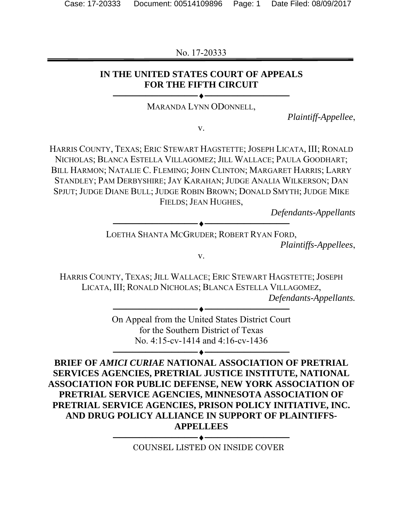No. 17-20333

## **IN THE UNITED STATES COURT OF APPEALS FOR THE FIFTH CIRCUIT**

────────────────────────── MARANDA LYNN ODONNELL,

*Plaintiff-Appellee*,

v.

HARRIS COUNTY, TEXAS; ERIC STEWART HAGSTETTE; JOSEPH LICATA, III; RONALD NICHOLAS; BLANCA ESTELLA VILLAGOMEZ; JILL WALLACE; PAULA GOODHART; BILL HARMON; NATALIE C. FLEMING; JOHN CLINTON; MARGARET HARRIS; LARRY STANDLEY; PAM DERBYSHIRE; JAY KARAHAN; JUDGE ANALIA WILKERSON; DAN SPJUT; JUDGE DIANE BULL; JUDGE ROBIN BROWN; DONALD SMYTH; JUDGE MIKE FIELDS; JEAN HUGHES,

*Defendants-Appellants* 

────────────────────────── LOETHA SHANTA MCGRUDER; ROBERT RYAN FORD,

*Plaintiffs-Appellees*,

v.

HARRIS COUNTY, TEXAS; JILL WALLACE; ERIC STEWART HAGSTETTE; JOSEPH LICATA, III; RONALD NICHOLAS; BLANCA ESTELLA VILLAGOMEZ, *Defendants-Appellants.* 

> On Appeal from the United States District Court for the Southern District of Texas No. 4:15-cv-1414 and 4:16-cv-1436

> > ──────────────────────────

──────────────────────────

**BRIEF OF** *AMICI CURIAE* **NATIONAL ASSOCIATION OF PRETRIAL SERVICES AGENCIES, PRETRIAL JUSTICE INSTITUTE, NATIONAL ASSOCIATION FOR PUBLIC DEFENSE, NEW YORK ASSOCIATION OF PRETRIAL SERVICE AGENCIES, MINNESOTA ASSOCIATION OF PRETRIAL SERVICE AGENCIES, PRISON POLICY INITIATIVE, INC. AND DRUG POLICY ALLIANCE IN SUPPORT OF PLAINTIFFS-APPELLEES** 

> ────────────────────────── COUNSEL LISTED ON INSIDE COVER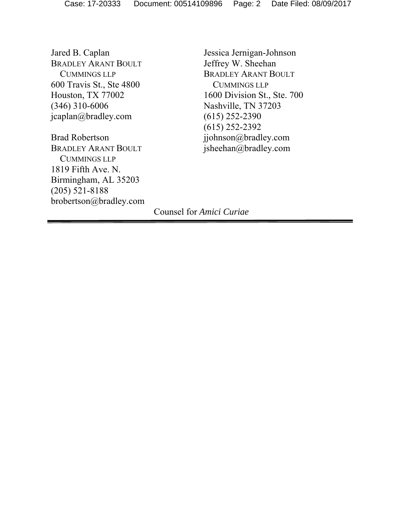Jared B. Caplan BRADLEY ARANT BOULT CUMMINGS LLP 600 Travis St., Ste 4800 Houston, TX 77002 (346) 310-6006 jcaplan@bradley.com

Brad Robertson BRADLEY ARANT BOULT CUMMINGS LLP 1819 Fifth Ave. N. Birmingham, AL 35203 (205) 521-8188 brobertson@bradley.com

Jessica Jernigan-Johnson Jeffrey W. Sheehan BRADLEY ARANT BOULT CUMMINGS LLP 1600 Division St., Ste. 700 Nashville, TN 37203 (615) 252-2390 (615) 252-2392 jjohnson@bradley.com jsheehan@bradley.com

Counsel for *Amici Curiae*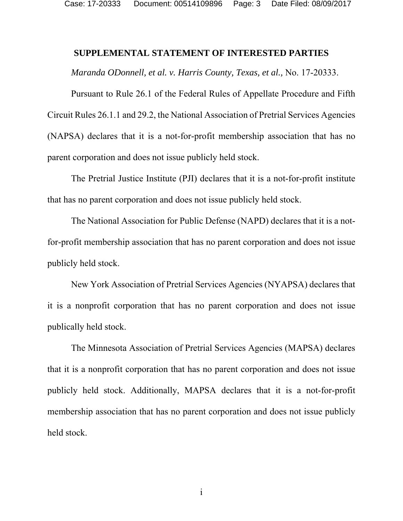#### **SUPPLEMENTAL STATEMENT OF INTERESTED PARTIES**

*Maranda ODonnell, et al. v. Harris County, Texas, et al.,* No. 17-20333.

Pursuant to Rule 26.1 of the Federal Rules of Appellate Procedure and Fifth Circuit Rules 26.1.1 and 29.2, the National Association of Pretrial Services Agencies (NAPSA) declares that it is a not-for-profit membership association that has no parent corporation and does not issue publicly held stock.

The Pretrial Justice Institute (PJI) declares that it is a not-for-profit institute that has no parent corporation and does not issue publicly held stock.

The National Association for Public Defense (NAPD) declares that it is a notfor-profit membership association that has no parent corporation and does not issue publicly held stock.

New York Association of Pretrial Services Agencies (NYAPSA) declares that it is a nonprofit corporation that has no parent corporation and does not issue publically held stock.

The Minnesota Association of Pretrial Services Agencies (MAPSA) declares that it is a nonprofit corporation that has no parent corporation and does not issue publicly held stock. Additionally, MAPSA declares that it is a not-for-profit membership association that has no parent corporation and does not issue publicly held stock.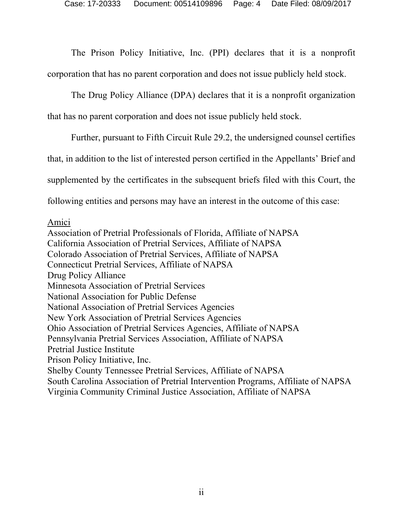The Prison Policy Initiative, Inc. (PPI) declares that it is a nonprofit corporation that has no parent corporation and does not issue publicly held stock.

The Drug Policy Alliance (DPA) declares that it is a nonprofit organization that has no parent corporation and does not issue publicly held stock.

Further, pursuant to Fifth Circuit Rule 29.2, the undersigned counsel certifies

that, in addition to the list of interested person certified in the Appellants' Brief and

supplemented by the certificates in the subsequent briefs filed with this Court, the

following entities and persons may have an interest in the outcome of this case:

#### Amici

Association of Pretrial Professionals of Florida, Affiliate of NAPSA California Association of Pretrial Services, Affiliate of NAPSA Colorado Association of Pretrial Services, Affiliate of NAPSA Connecticut Pretrial Services, Affiliate of NAPSA Drug Policy Alliance Minnesota Association of Pretrial Services National Association for Public Defense National Association of Pretrial Services Agencies New York Association of Pretrial Services Agencies Ohio Association of Pretrial Services Agencies, Affiliate of NAPSA Pennsylvania Pretrial Services Association, Affiliate of NAPSA Pretrial Justice Institute Prison Policy Initiative, Inc. Shelby County Tennessee Pretrial Services, Affiliate of NAPSA South Carolina Association of Pretrial Intervention Programs, Affiliate of NAPSA Virginia Community Criminal Justice Association, Affiliate of NAPSA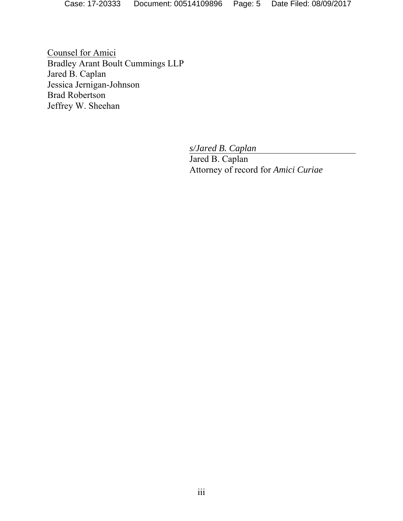Case: 17-20333 Document: 00514109896 Page: 5 Date Filed: 08/09/2017

Counsel for Amici Bradley Arant Boult Cummings LLP Jared B. Caplan Jessica Jernigan-Johnson Brad Robertson Jeffrey W. Sheehan

*s/Jared B. Caplan* 

Jared B. Caplan Attorney of record for *Amici Curiae*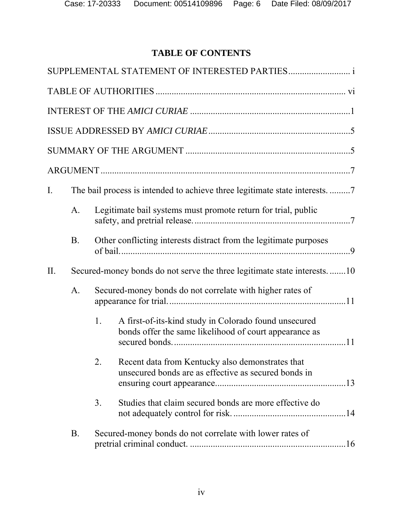# **TABLE OF CONTENTS**

| $I_{\cdot}$ |                                                                 |                                                                                                                       |  |  |  |  |  |
|-------------|-----------------------------------------------------------------|-----------------------------------------------------------------------------------------------------------------------|--|--|--|--|--|
|             | $A_{\cdot}$                                                     | Legitimate bail systems must promote return for trial, public                                                         |  |  |  |  |  |
|             | <b>B</b> .                                                      | Other conflicting interests distract from the legitimate purposes                                                     |  |  |  |  |  |
| II.         |                                                                 | Secured-money bonds do not serve the three legitimate state interests10                                               |  |  |  |  |  |
|             | A.<br>Secured-money bonds do not correlate with higher rates of |                                                                                                                       |  |  |  |  |  |
|             |                                                                 | A first-of-its-kind study in Colorado found unsecured<br>1.<br>bonds offer the same likelihood of court appearance as |  |  |  |  |  |
|             |                                                                 | Recent data from Kentucky also demonstrates that<br>2.<br>unsecured bonds are as effective as secured bonds in        |  |  |  |  |  |
|             |                                                                 | 3.<br>Studies that claim secured bonds are more effective do                                                          |  |  |  |  |  |
|             | <b>B.</b>                                                       | Secured-money bonds do not correlate with lower rates of                                                              |  |  |  |  |  |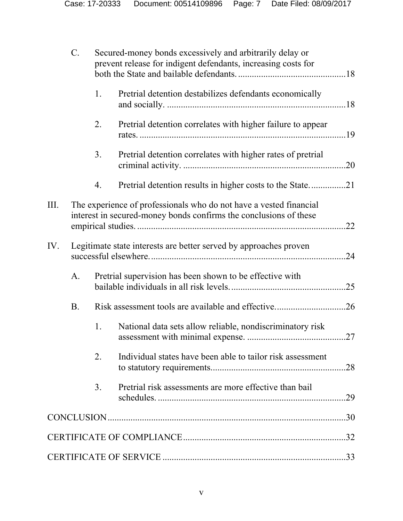|     | $C$ .     | Secured-money bonds excessively and arbitrarily delay or<br>prevent release for indigent defendants, increasing costs for |                                                                                                                                         |     |  |  |
|-----|-----------|---------------------------------------------------------------------------------------------------------------------------|-----------------------------------------------------------------------------------------------------------------------------------------|-----|--|--|
|     |           | 1.                                                                                                                        | Pretrial detention destabilizes defendants economically                                                                                 |     |  |  |
|     |           | 2.                                                                                                                        | Pretrial detention correlates with higher failure to appear                                                                             |     |  |  |
|     |           | 3 <sub>1</sub>                                                                                                            | Pretrial detention correlates with higher rates of pretrial                                                                             |     |  |  |
|     |           | 4.                                                                                                                        |                                                                                                                                         |     |  |  |
| Ш.  |           |                                                                                                                           | The experience of professionals who do not have a vested financial<br>interest in secured-money bonds confirms the conclusions of these |     |  |  |
| IV. |           |                                                                                                                           | Legitimate state interests are better served by approaches proven                                                                       |     |  |  |
|     | A.        |                                                                                                                           | Pretrial supervision has been shown to be effective with                                                                                | .25 |  |  |
|     | <b>B.</b> |                                                                                                                           | Risk assessment tools are available and effective26                                                                                     |     |  |  |
|     |           | 1.                                                                                                                        | National data sets allow reliable, nondiscriminatory risk                                                                               |     |  |  |
|     |           | $\overline{2}$ .                                                                                                          | Individual states have been able to tailor risk assessment                                                                              |     |  |  |
|     |           | 3.                                                                                                                        | Pretrial risk assessments are more effective than bail                                                                                  |     |  |  |
|     |           |                                                                                                                           |                                                                                                                                         |     |  |  |
|     |           |                                                                                                                           |                                                                                                                                         |     |  |  |
|     |           |                                                                                                                           |                                                                                                                                         |     |  |  |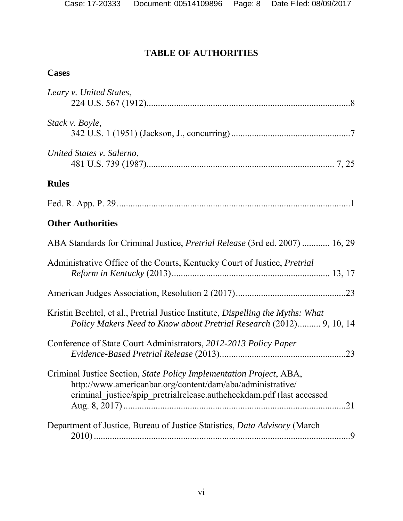# **TABLE OF AUTHORITIES**

# **Cases**

| Leary v. United States,                                                                                                                                                                                           |
|-------------------------------------------------------------------------------------------------------------------------------------------------------------------------------------------------------------------|
| Stack v. Boyle,                                                                                                                                                                                                   |
| United States v. Salerno,                                                                                                                                                                                         |
| <b>Rules</b>                                                                                                                                                                                                      |
|                                                                                                                                                                                                                   |
| <b>Other Authorities</b>                                                                                                                                                                                          |
| ABA Standards for Criminal Justice, <i>Pretrial Release</i> (3rd ed. 2007)  16, 29                                                                                                                                |
| Administrative Office of the Courts, Kentucky Court of Justice, Pretrial                                                                                                                                          |
|                                                                                                                                                                                                                   |
| Kristin Bechtel, et al., Pretrial Justice Institute, Dispelling the Myths: What<br>Policy Makers Need to Know about Pretrial Research (2012) 9, 10, 14                                                            |
| Conference of State Court Administrators, 2012-2013 Policy Paper                                                                                                                                                  |
| Criminal Justice Section, State Policy Implementation Project, ABA,<br>http://www.americanbar.org/content/dam/aba/administrative/<br>criminal_justice/spip_pretrialrelease.authcheckdam.pdf (last accessed<br>.21 |
| Department of Justice, Bureau of Justice Statistics, Data Advisory (March                                                                                                                                         |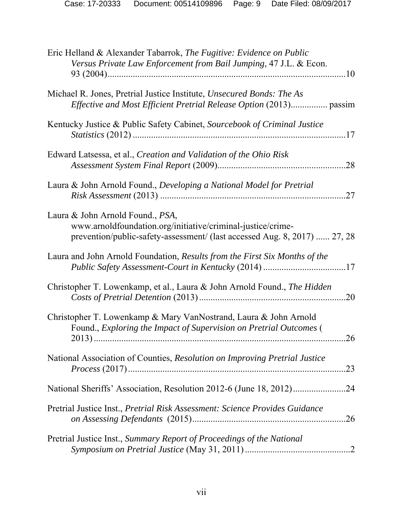| Eric Helland & Alexander Tabarrok, The Fugitive: Evidence on Public<br>Versus Private Law Enforcement from Bail Jumping, 47 J.L. & Econ.                                             |
|--------------------------------------------------------------------------------------------------------------------------------------------------------------------------------------|
| Michael R. Jones, Pretrial Justice Institute, Unsecured Bonds: The As<br><i>Effective and Most Efficient Pretrial Release Option (2013) passim</i>                                   |
| Kentucky Justice & Public Safety Cabinet, Sourcebook of Criminal Justice<br>17                                                                                                       |
| Edward Latsessa, et al., Creation and Validation of the Ohio Risk<br>.28                                                                                                             |
| Laura & John Arnold Found., Developing a National Model for Pretrial<br>.27                                                                                                          |
| Laura & John Arnold Found., <i>PSA</i> ,<br>www.arnoldfoundation.org/initiative/criminal-justice/crime-<br>prevention/public-safety-assessment/ (last accessed Aug. 8, 2017)  27, 28 |
| Laura and John Arnold Foundation, Results from the First Six Months of the                                                                                                           |
| Christopher T. Lowenkamp, et al., Laura & John Arnold Found., The Hidden<br>.20                                                                                                      |
| Christopher T. Lowenkamp & Mary VanNostrand, Laura & John Arnold<br>Found., Exploring the Impact of Supervision on Pretrial Outcomes (<br>26                                         |
| National Association of Counties, Resolution on Improving Pretrial Justice<br>.23                                                                                                    |
| .24                                                                                                                                                                                  |
| Pretrial Justice Inst., Pretrial Risk Assessment: Science Provides Guidance<br>.26                                                                                                   |
| Pretrial Justice Inst., Summary Report of Proceedings of the National                                                                                                                |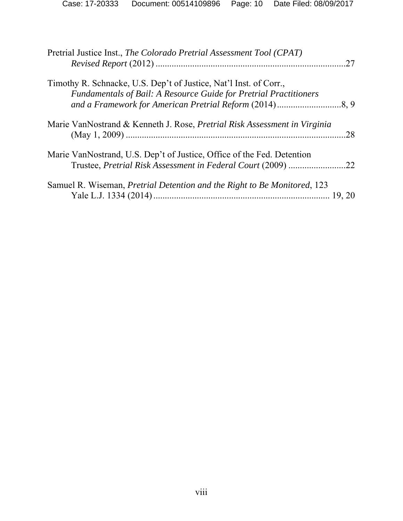| Pretrial Justice Inst., The Colorado Pretrial Assessment Tool (CPAT)                                                                          | .27 |
|-----------------------------------------------------------------------------------------------------------------------------------------------|-----|
| Timothy R. Schnacke, U.S. Dep't of Justice, Nat'l Inst. of Corr.,<br><b>Fundamentals of Bail: A Resource Guide for Pretrial Practitioners</b> |     |
| Marie VanNostrand & Kenneth J. Rose, <i>Pretrial Risk Assessment in Virginia</i>                                                              | .28 |
| Marie VanNostrand, U.S. Dep't of Justice, Office of the Fed. Detention<br>Trustee, Pretrial Risk Assessment in Federal Court (2009)           | .22 |
| Samuel R. Wiseman, <i>Pretrial Detention and the Right to Be Monitored</i> , 123                                                              |     |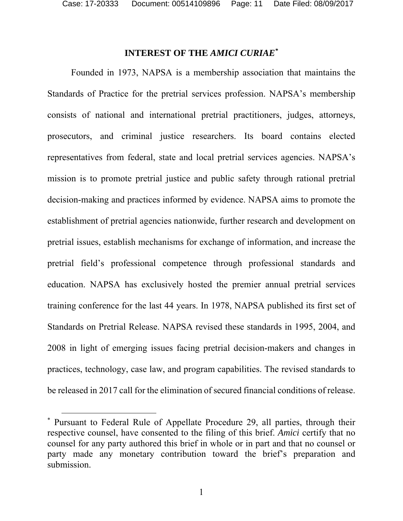l

### **INTEREST OF THE** *AMICI CURIAE\**

Founded in 1973, NAPSA is a membership association that maintains the Standards of Practice for the pretrial services profession. NAPSA's membership consists of national and international pretrial practitioners, judges, attorneys, prosecutors, and criminal justice researchers. Its board contains elected representatives from federal, state and local pretrial services agencies. NAPSA's mission is to promote pretrial justice and public safety through rational pretrial decision-making and practices informed by evidence. NAPSA aims to promote the establishment of pretrial agencies nationwide, further research and development on pretrial issues, establish mechanisms for exchange of information, and increase the pretrial field's professional competence through professional standards and education. NAPSA has exclusively hosted the premier annual pretrial services training conference for the last 44 years. In 1978, NAPSA published its first set of Standards on Pretrial Release. NAPSA revised these standards in 1995, 2004, and 2008 in light of emerging issues facing pretrial decision-makers and changes in practices, technology, case law, and program capabilities. The revised standards to be released in 2017 call for the elimination of secured financial conditions of release.

<sup>\*</sup> Pursuant to Federal Rule of Appellate Procedure 29, all parties, through their respective counsel, have consented to the filing of this brief. *Amici* certify that no counsel for any party authored this brief in whole or in part and that no counsel or party made any monetary contribution toward the brief's preparation and submission.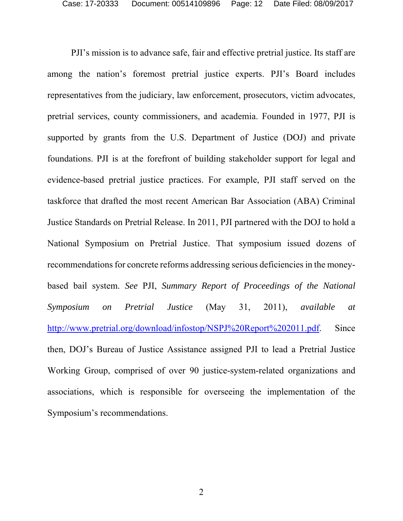PJI's mission is to advance safe, fair and effective pretrial justice. Its staff are among the nation's foremost pretrial justice experts. PJI's Board includes representatives from the judiciary, law enforcement, prosecutors, victim advocates, pretrial services, county commissioners, and academia. Founded in 1977, PJI is supported by grants from the U.S. Department of Justice (DOJ) and private foundations. PJI is at the forefront of building stakeholder support for legal and evidence-based pretrial justice practices. For example, PJI staff served on the taskforce that drafted the most recent American Bar Association (ABA) Criminal Justice Standards on Pretrial Release. In 2011, PJI partnered with the DOJ to hold a National Symposium on Pretrial Justice. That symposium issued dozens of recommendations for concrete reforms addressing serious deficiencies in the moneybased bail system. *See* PJI, *Summary Report of Proceedings of the National Symposium on Pretrial Justice* (May 31, 2011), *available at*  http://www.pretrial.org/download/infostop/NSPJ%20Report%202011.pdf. Since then, DOJ's Bureau of Justice Assistance assigned PJI to lead a Pretrial Justice Working Group, comprised of over 90 justice-system-related organizations and associations, which is responsible for overseeing the implementation of the Symposium's recommendations.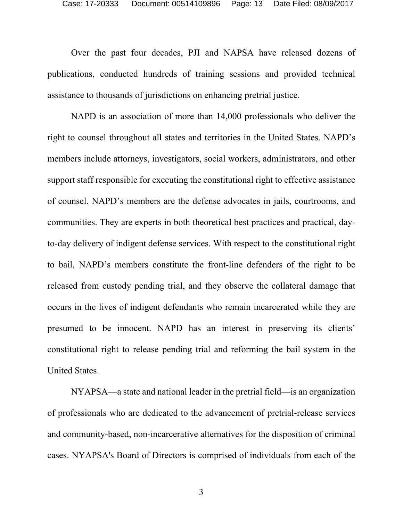Over the past four decades, PJI and NAPSA have released dozens of publications, conducted hundreds of training sessions and provided technical assistance to thousands of jurisdictions on enhancing pretrial justice.

NAPD is an association of more than 14,000 professionals who deliver the right to counsel throughout all states and territories in the United States. NAPD's members include attorneys, investigators, social workers, administrators, and other support staff responsible for executing the constitutional right to effective assistance of counsel. NAPD's members are the defense advocates in jails, courtrooms, and communities. They are experts in both theoretical best practices and practical, dayto-day delivery of indigent defense services. With respect to the constitutional right to bail, NAPD's members constitute the front-line defenders of the right to be released from custody pending trial, and they observe the collateral damage that occurs in the lives of indigent defendants who remain incarcerated while they are presumed to be innocent. NAPD has an interest in preserving its clients' constitutional right to release pending trial and reforming the bail system in the United States.

NYAPSA—a state and national leader in the pretrial field—is an organization of professionals who are dedicated to the advancement of pretrial-release services and community-based, non-incarcerative alternatives for the disposition of criminal cases. NYAPSA's Board of Directors is comprised of individuals from each of the

3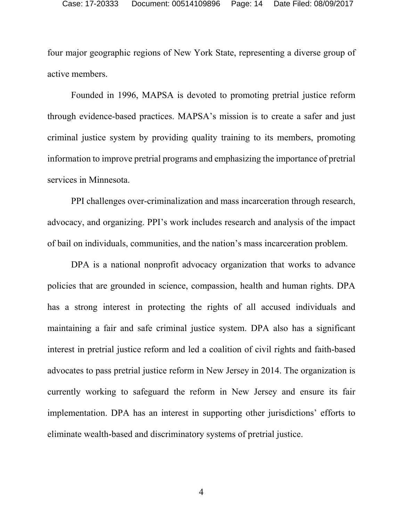four major geographic regions of New York State, representing a diverse group of active members.

Founded in 1996, MAPSA is devoted to promoting pretrial justice reform through evidence-based practices. MAPSA's mission is to create a safer and just criminal justice system by providing quality training to its members, promoting information to improve pretrial programs and emphasizing the importance of pretrial services in Minnesota.

PPI challenges over-criminalization and mass incarceration through research, advocacy, and organizing. PPI's work includes research and analysis of the impact of bail on individuals, communities, and the nation's mass incarceration problem.

DPA is a national nonprofit advocacy organization that works to advance policies that are grounded in science, compassion, health and human rights. DPA has a strong interest in protecting the rights of all accused individuals and maintaining a fair and safe criminal justice system. DPA also has a significant interest in pretrial justice reform and led a coalition of civil rights and faith-based advocates to pass pretrial justice reform in New Jersey in 2014. The organization is currently working to safeguard the reform in New Jersey and ensure its fair implementation. DPA has an interest in supporting other jurisdictions' efforts to eliminate wealth-based and discriminatory systems of pretrial justice.

4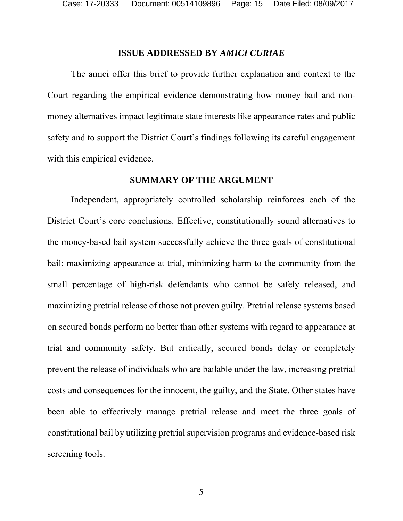#### **ISSUE ADDRESSED BY** *AMICI CURIAE*

The amici offer this brief to provide further explanation and context to the Court regarding the empirical evidence demonstrating how money bail and nonmoney alternatives impact legitimate state interests like appearance rates and public safety and to support the District Court's findings following its careful engagement with this empirical evidence.

#### **SUMMARY OF THE ARGUMENT**

Independent, appropriately controlled scholarship reinforces each of the District Court's core conclusions. Effective, constitutionally sound alternatives to the money-based bail system successfully achieve the three goals of constitutional bail: maximizing appearance at trial, minimizing harm to the community from the small percentage of high-risk defendants who cannot be safely released, and maximizing pretrial release of those not proven guilty. Pretrial release systems based on secured bonds perform no better than other systems with regard to appearance at trial and community safety. But critically, secured bonds delay or completely prevent the release of individuals who are bailable under the law, increasing pretrial costs and consequences for the innocent, the guilty, and the State. Other states have been able to effectively manage pretrial release and meet the three goals of constitutional bail by utilizing pretrial supervision programs and evidence-based risk screening tools.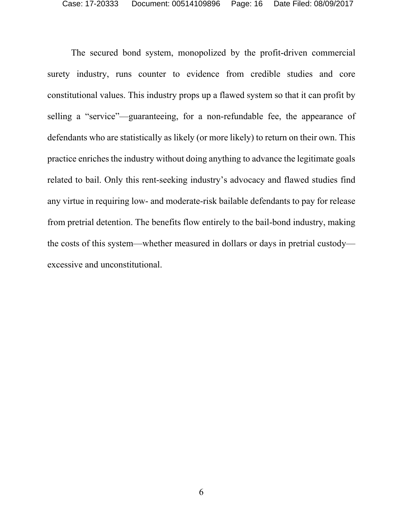The secured bond system, monopolized by the profit-driven commercial surety industry, runs counter to evidence from credible studies and core constitutional values. This industry props up a flawed system so that it can profit by selling a "service"—guaranteeing, for a non-refundable fee, the appearance of defendants who are statistically as likely (or more likely) to return on their own. This practice enriches the industry without doing anything to advance the legitimate goals related to bail. Only this rent-seeking industry's advocacy and flawed studies find any virtue in requiring low- and moderate-risk bailable defendants to pay for release from pretrial detention. The benefits flow entirely to the bail-bond industry, making the costs of this system—whether measured in dollars or days in pretrial custody excessive and unconstitutional.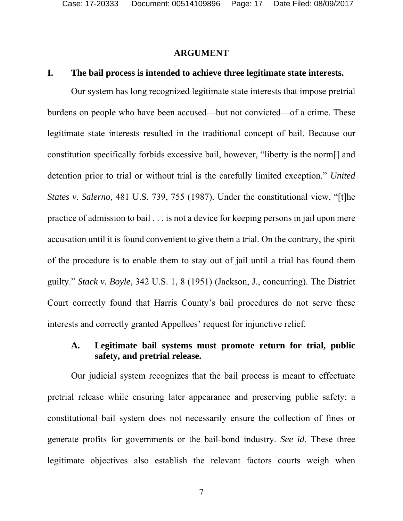#### **ARGUMENT**

#### **I. The bail process is intended to achieve three legitimate state interests.**

Our system has long recognized legitimate state interests that impose pretrial burdens on people who have been accused—but not convicted—of a crime. These legitimate state interests resulted in the traditional concept of bail. Because our constitution specifically forbids excessive bail, however, "liberty is the norm[] and detention prior to trial or without trial is the carefully limited exception." *United States v. Salerno*, 481 U.S. 739, 755 (1987). Under the constitutional view, "[t]he practice of admission to bail . . . is not a device for keeping persons in jail upon mere accusation until it is found convenient to give them a trial. On the contrary, the spirit of the procedure is to enable them to stay out of jail until a trial has found them guilty." *Stack v. Boyle*, 342 U.S. 1, 8 (1951) (Jackson, J., concurring). The District Court correctly found that Harris County's bail procedures do not serve these interests and correctly granted Appellees' request for injunctive relief.

## **A. Legitimate bail systems must promote return for trial, public safety, and pretrial release.**

Our judicial system recognizes that the bail process is meant to effectuate pretrial release while ensuring later appearance and preserving public safety; a constitutional bail system does not necessarily ensure the collection of fines or generate profits for governments or the bail-bond industry. *See id.* These three legitimate objectives also establish the relevant factors courts weigh when

7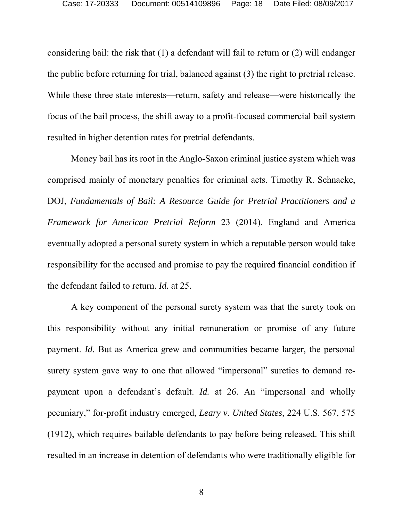considering bail: the risk that (1) a defendant will fail to return or (2) will endanger the public before returning for trial, balanced against (3) the right to pretrial release. While these three state interests—return, safety and release—were historically the focus of the bail process, the shift away to a profit-focused commercial bail system resulted in higher detention rates for pretrial defendants.

Money bail has its root in the Anglo-Saxon criminal justice system which was comprised mainly of monetary penalties for criminal acts. Timothy R. Schnacke, DOJ, *Fundamentals of Bail: A Resource Guide for Pretrial Practitioners and a Framework for American Pretrial Reform* 23 (2014). England and America eventually adopted a personal surety system in which a reputable person would take responsibility for the accused and promise to pay the required financial condition if the defendant failed to return. *Id.* at 25.

A key component of the personal surety system was that the surety took on this responsibility without any initial remuneration or promise of any future payment. *Id.* But as America grew and communities became larger, the personal surety system gave way to one that allowed "impersonal" sureties to demand repayment upon a defendant's default. *Id.* at 26. An "impersonal and wholly pecuniary," for-profit industry emerged, *Leary v. United States*, 224 U.S. 567, 575 (1912), which requires bailable defendants to pay before being released. This shift resulted in an increase in detention of defendants who were traditionally eligible for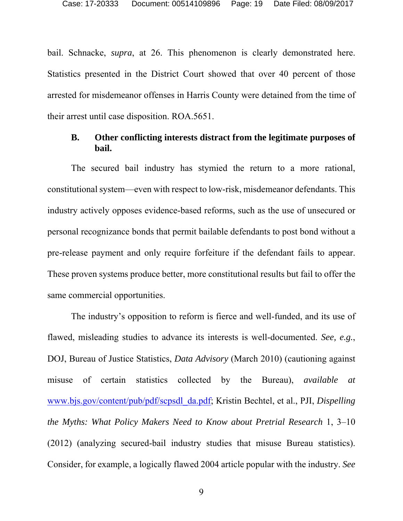bail. Schnacke, *supra*, at 26. This phenomenon is clearly demonstrated here. Statistics presented in the District Court showed that over 40 percent of those arrested for misdemeanor offenses in Harris County were detained from the time of their arrest until case disposition. ROA.5651.

#### **B. Other conflicting interests distract from the legitimate purposes of bail.**

The secured bail industry has stymied the return to a more rational, constitutional system—even with respect to low-risk, misdemeanor defendants. This industry actively opposes evidence-based reforms, such as the use of unsecured or personal recognizance bonds that permit bailable defendants to post bond without a pre-release payment and only require forfeiture if the defendant fails to appear. These proven systems produce better, more constitutional results but fail to offer the same commercial opportunities.

The industry's opposition to reform is fierce and well-funded, and its use of flawed, misleading studies to advance its interests is well-documented. *See, e.g.*, DOJ, Bureau of Justice Statistics, *Data Advisory* (March 2010) (cautioning against misuse of certain statistics collected by the Bureau), *available at* www.bjs.gov/content/pub/pdf/scpsdl\_da.pdf; Kristin Bechtel, et al., PJI, *Dispelling the Myths: What Policy Makers Need to Know about Pretrial Research* 1, 3–10 (2012) (analyzing secured-bail industry studies that misuse Bureau statistics). Consider, for example, a logically flawed 2004 article popular with the industry. *See*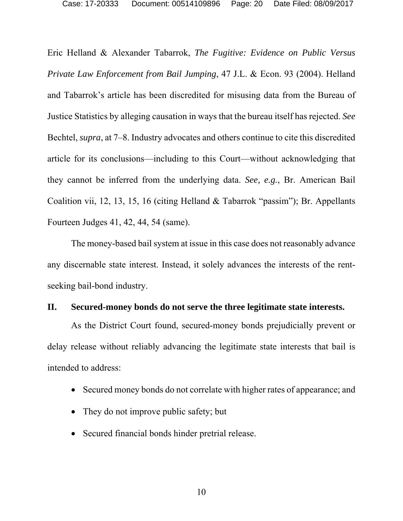Eric Helland & Alexander Tabarrok, *The Fugitive: Evidence on Public Versus Private Law Enforcement from Bail Jumping*, 47 J.L. & Econ. 93 (2004). Helland and Tabarrok's article has been discredited for misusing data from the Bureau of Justice Statistics by alleging causation in ways that the bureau itself has rejected. *See* Bechtel, *supra*, at 7–8. Industry advocates and others continue to cite this discredited article for its conclusions—including to this Court—without acknowledging that they cannot be inferred from the underlying data. *See, e.g.*, Br. American Bail Coalition vii, 12, 13, 15, 16 (citing Helland & Tabarrok "passim"); Br. Appellants Fourteen Judges 41, 42, 44, 54 (same).

The money-based bail system at issue in this case does not reasonably advance any discernable state interest. Instead, it solely advances the interests of the rentseeking bail-bond industry.

## **II. Secured-money bonds do not serve the three legitimate state interests.**

As the District Court found, secured-money bonds prejudicially prevent or delay release without reliably advancing the legitimate state interests that bail is intended to address:

- Secured money bonds do not correlate with higher rates of appearance; and
- They do not improve public safety; but
- Secured financial bonds hinder pretrial release.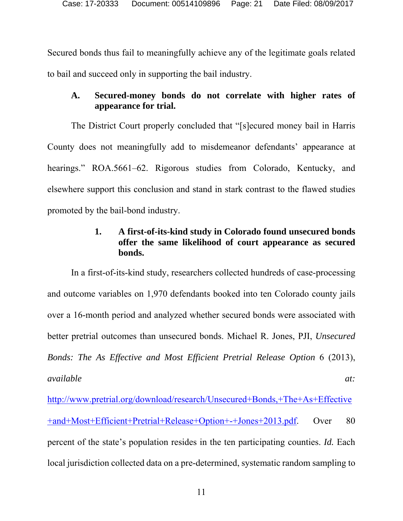Secured bonds thus fail to meaningfully achieve any of the legitimate goals related to bail and succeed only in supporting the bail industry.

## **A. Secured-money bonds do not correlate with higher rates of appearance for trial.**

The District Court properly concluded that "[s]ecured money bail in Harris County does not meaningfully add to misdemeanor defendants' appearance at hearings." ROA.5661–62. Rigorous studies from Colorado, Kentucky, and elsewhere support this conclusion and stand in stark contrast to the flawed studies promoted by the bail-bond industry.

## **1. A first-of-its-kind study in Colorado found unsecured bonds offer the same likelihood of court appearance as secured bonds.**

In a first-of-its-kind study, researchers collected hundreds of case-processing and outcome variables on 1,970 defendants booked into ten Colorado county jails over a 16-month period and analyzed whether secured bonds were associated with better pretrial outcomes than unsecured bonds. Michael R. Jones, PJI, *Unsecured Bonds: The As Effective and Most Efficient Pretrial Release Option* 6 (2013), *available* and *at:*  $\alpha t$ :

http://www.pretrial.org/download/research/Unsecured+Bonds,+The+As+Effective +and+Most+Efficient+Pretrial+Release+Option+-+Jones+2013.pdf. Over 80 percent of the state's population resides in the ten participating counties. *Id.* Each local jurisdiction collected data on a pre-determined, systematic random sampling to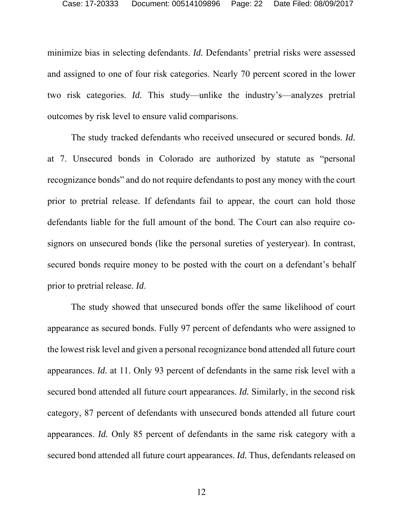minimize bias in selecting defendants. *Id.* Defendants' pretrial risks were assessed and assigned to one of four risk categories. Nearly 70 percent scored in the lower two risk categories. *Id.* This study—unlike the industry's—analyzes pretrial outcomes by risk level to ensure valid comparisons.

The study tracked defendants who received unsecured or secured bonds. *Id.* at 7. Unsecured bonds in Colorado are authorized by statute as "personal recognizance bonds" and do not require defendants to post any money with the court prior to pretrial release. If defendants fail to appear, the court can hold those defendants liable for the full amount of the bond. The Court can also require cosignors on unsecured bonds (like the personal sureties of yesteryear). In contrast, secured bonds require money to be posted with the court on a defendant's behalf prior to pretrial release. *Id*.

The study showed that unsecured bonds offer the same likelihood of court appearance as secured bonds. Fully 97 percent of defendants who were assigned to the lowest risk level and given a personal recognizance bond attended all future court appearances. *Id.* at 11. Only 93 percent of defendants in the same risk level with a secured bond attended all future court appearances. *Id.* Similarly, in the second risk category, 87 percent of defendants with unsecured bonds attended all future court appearances. *Id.* Only 85 percent of defendants in the same risk category with a secured bond attended all future court appearances. *Id.* Thus, defendants released on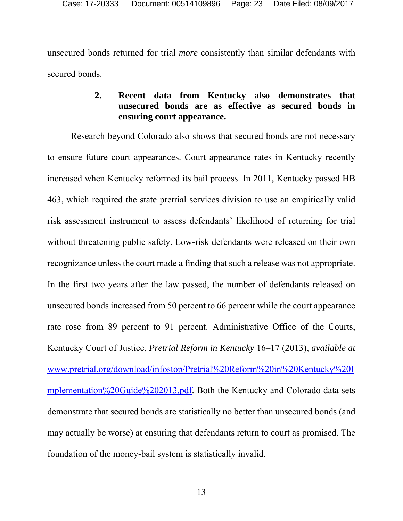unsecured bonds returned for trial *more* consistently than similar defendants with secured bonds.

## **2. Recent data from Kentucky also demonstrates that unsecured bonds are as effective as secured bonds in ensuring court appearance.**

Research beyond Colorado also shows that secured bonds are not necessary to ensure future court appearances. Court appearance rates in Kentucky recently increased when Kentucky reformed its bail process. In 2011, Kentucky passed HB 463, which required the state pretrial services division to use an empirically valid risk assessment instrument to assess defendants' likelihood of returning for trial without threatening public safety. Low-risk defendants were released on their own recognizance unless the court made a finding that such a release was not appropriate. In the first two years after the law passed, the number of defendants released on unsecured bonds increased from 50 percent to 66 percent while the court appearance rate rose from 89 percent to 91 percent. Administrative Office of the Courts, Kentucky Court of Justice, *Pretrial Reform in Kentucky* 16–17 (2013), *available at* www.pretrial.org/download/infostop/Pretrial%20Reform%20in%20Kentucky%20I mplementation%20Guide%202013.pdf. Both the Kentucky and Colorado data sets demonstrate that secured bonds are statistically no better than unsecured bonds (and may actually be worse) at ensuring that defendants return to court as promised. The foundation of the money-bail system is statistically invalid.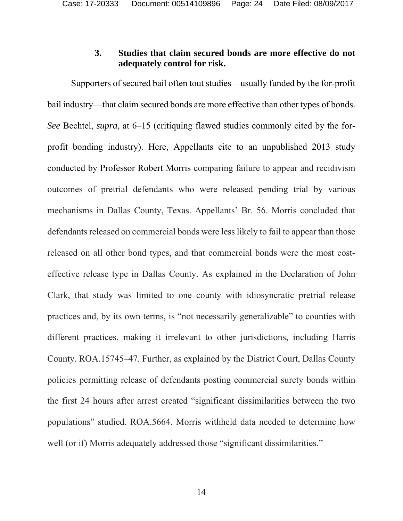#### **3. Studies that claim secured bonds are more effective do not adequately control for risk.**

Supporters of secured bail often tout studies—usually funded by the for-profit bail industry—that claim secured bonds are more effective than other types of bonds. *See* Bechtel, *supra*, at 6–15 (critiquing flawed studies commonly cited by the forprofit bonding industry). Here, Appellants cite to an unpublished 2013 study conducted by Professor Robert Morris comparing failure to appear and recidivism outcomes of pretrial defendants who were released pending trial by various mechanisms in Dallas County, Texas. Appellants' Br. 56. Morris concluded that defendants released on commercial bonds were less likely to fail to appear than those released on all other bond types, and that commercial bonds were the most costeffective release type in Dallas County. As explained in the Declaration of John Clark, that study was limited to one county with idiosyncratic pretrial release practices and, by its own terms, is "not necessarily generalizable" to counties with different practices, making it irrelevant to other jurisdictions, including Harris County. ROA.15745–47. Further, as explained by the District Court, Dallas County policies permitting release of defendants posting commercial surety bonds within the first 24 hours after arrest created "significant dissimilarities between the two populations" studied. ROA.5664. Morris withheld data needed to determine how well (or if) Morris adequately addressed those "significant dissimilarities."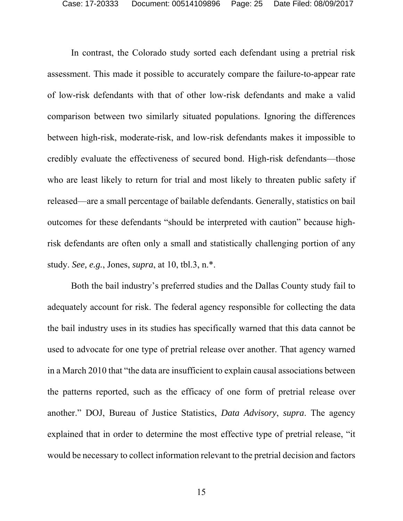In contrast, the Colorado study sorted each defendant using a pretrial risk assessment. This made it possible to accurately compare the failure-to-appear rate of low-risk defendants with that of other low-risk defendants and make a valid comparison between two similarly situated populations. Ignoring the differences between high-risk, moderate-risk, and low-risk defendants makes it impossible to credibly evaluate the effectiveness of secured bond. High-risk defendants—those who are least likely to return for trial and most likely to threaten public safety if released—are a small percentage of bailable defendants. Generally, statistics on bail outcomes for these defendants "should be interpreted with caution" because highrisk defendants are often only a small and statistically challenging portion of any study. *See, e.g.*, Jones, *supra*, at 10, tbl.3, n.\*.

Both the bail industry's preferred studies and the Dallas County study fail to adequately account for risk. The federal agency responsible for collecting the data the bail industry uses in its studies has specifically warned that this data cannot be used to advocate for one type of pretrial release over another. That agency warned in a March 2010 that "the data are insufficient to explain causal associations between the patterns reported, such as the efficacy of one form of pretrial release over another." DOJ, Bureau of Justice Statistics, *Data Advisory*, *supra*. The agency explained that in order to determine the most effective type of pretrial release, "it would be necessary to collect information relevant to the pretrial decision and factors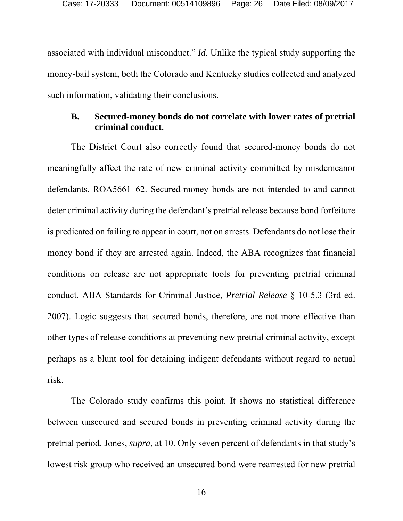associated with individual misconduct." *Id.* Unlike the typical study supporting the money-bail system, both the Colorado and Kentucky studies collected and analyzed such information, validating their conclusions.

## **B. Secured-money bonds do not correlate with lower rates of pretrial criminal conduct.**

The District Court also correctly found that secured-money bonds do not meaningfully affect the rate of new criminal activity committed by misdemeanor defendants. ROA5661–62. Secured-money bonds are not intended to and cannot deter criminal activity during the defendant's pretrial release because bond forfeiture is predicated on failing to appear in court, not on arrests. Defendants do not lose their money bond if they are arrested again. Indeed, the ABA recognizes that financial conditions on release are not appropriate tools for preventing pretrial criminal conduct. ABA Standards for Criminal Justice, *Pretrial Release* § 10-5.3 (3rd ed. 2007). Logic suggests that secured bonds, therefore, are not more effective than other types of release conditions at preventing new pretrial criminal activity, except perhaps as a blunt tool for detaining indigent defendants without regard to actual risk.

The Colorado study confirms this point. It shows no statistical difference between unsecured and secured bonds in preventing criminal activity during the pretrial period. Jones, *supra*, at 10. Only seven percent of defendants in that study's lowest risk group who received an unsecured bond were rearrested for new pretrial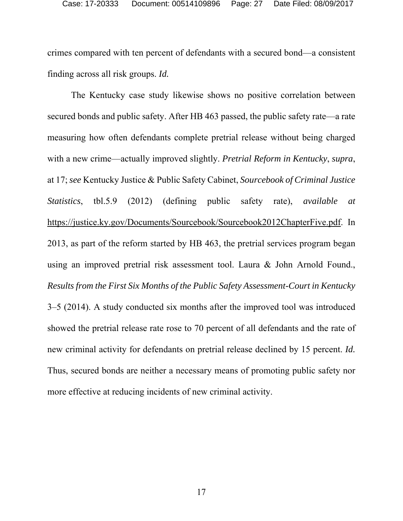crimes compared with ten percent of defendants with a secured bond—a consistent finding across all risk groups. *Id.*

The Kentucky case study likewise shows no positive correlation between secured bonds and public safety. After HB 463 passed, the public safety rate—a rate measuring how often defendants complete pretrial release without being charged with a new crime—actually improved slightly. *Pretrial Reform in Kentucky*, *supra*, at 17; *see* Kentucky Justice & Public Safety Cabinet, *Sourcebook of Criminal Justice Statistics*, tbl.5.9 (2012) (defining public safety rate), *available at*  https://justice.ky.gov/Documents/Sourcebook/Sourcebook2012ChapterFive.pdf. In 2013, as part of the reform started by HB 463, the pretrial services program began using an improved pretrial risk assessment tool. Laura & John Arnold Found., *Results from the First Six Months of the Public Safety Assessment-Court in Kentucky* 3–5 (2014). A study conducted six months after the improved tool was introduced showed the pretrial release rate rose to 70 percent of all defendants and the rate of new criminal activity for defendants on pretrial release declined by 15 percent. *Id.* Thus, secured bonds are neither a necessary means of promoting public safety nor more effective at reducing incidents of new criminal activity.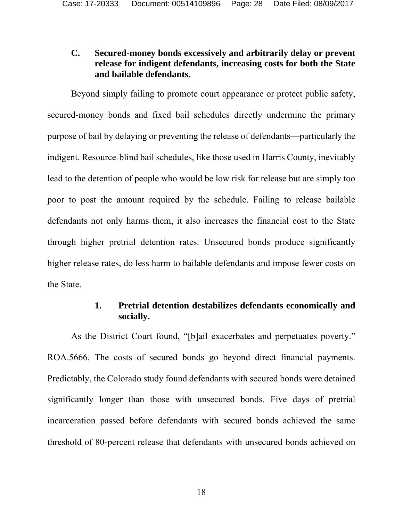## **C. Secured-money bonds excessively and arbitrarily delay or prevent release for indigent defendants, increasing costs for both the State and bailable defendants.**

Beyond simply failing to promote court appearance or protect public safety, secured-money bonds and fixed bail schedules directly undermine the primary purpose of bail by delaying or preventing the release of defendants—particularly the indigent. Resource-blind bail schedules, like those used in Harris County, inevitably lead to the detention of people who would be low risk for release but are simply too poor to post the amount required by the schedule. Failing to release bailable defendants not only harms them, it also increases the financial cost to the State through higher pretrial detention rates. Unsecured bonds produce significantly higher release rates, do less harm to bailable defendants and impose fewer costs on the State.

## **1. Pretrial detention destabilizes defendants economically and socially.**

As the District Court found, "[b]ail exacerbates and perpetuates poverty." ROA.5666. The costs of secured bonds go beyond direct financial payments. Predictably, the Colorado study found defendants with secured bonds were detained significantly longer than those with unsecured bonds. Five days of pretrial incarceration passed before defendants with secured bonds achieved the same threshold of 80-percent release that defendants with unsecured bonds achieved on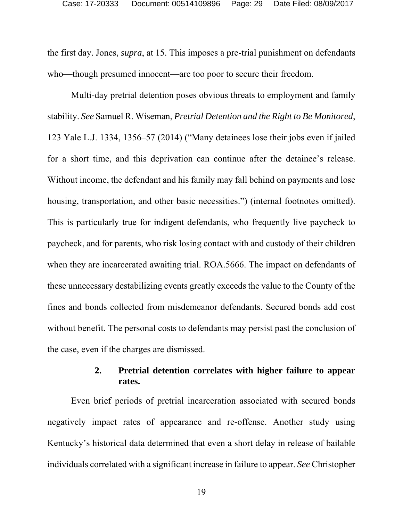the first day. Jones, *supra*, at 15. This imposes a pre-trial punishment on defendants who—though presumed innocent—are too poor to secure their freedom.

Multi-day pretrial detention poses obvious threats to employment and family stability. *See* Samuel R. Wiseman, *Pretrial Detention and the Right to Be Monitored*, 123 Yale L.J. 1334, 1356–57 (2014) ("Many detainees lose their jobs even if jailed for a short time, and this deprivation can continue after the detainee's release. Without income, the defendant and his family may fall behind on payments and lose housing, transportation, and other basic necessities.") (internal footnotes omitted). This is particularly true for indigent defendants, who frequently live paycheck to paycheck, and for parents, who risk losing contact with and custody of their children when they are incarcerated awaiting trial. ROA.5666. The impact on defendants of these unnecessary destabilizing events greatly exceeds the value to the County of the fines and bonds collected from misdemeanor defendants. Secured bonds add cost without benefit. The personal costs to defendants may persist past the conclusion of the case, even if the charges are dismissed.

## **2. Pretrial detention correlates with higher failure to appear rates.**

Even brief periods of pretrial incarceration associated with secured bonds negatively impact rates of appearance and re-offense. Another study using Kentucky's historical data determined that even a short delay in release of bailable individuals correlated with a significant increase in failure to appear. *See* Christopher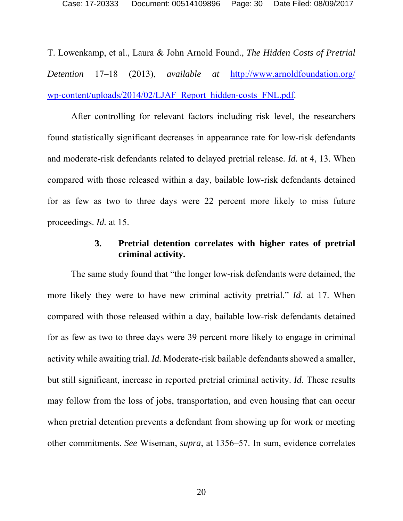T. Lowenkamp, et al., Laura & John Arnold Found., *The Hidden Costs of Pretrial Detention* 17–18 (2013), *available at* http://www.arnoldfoundation.org/ wp-content/uploads/2014/02/LJAF\_Report\_hidden-costs\_FNL.pdf.

After controlling for relevant factors including risk level, the researchers found statistically significant decreases in appearance rate for low-risk defendants and moderate-risk defendants related to delayed pretrial release. *Id.* at 4, 13. When compared with those released within a day, bailable low-risk defendants detained for as few as two to three days were 22 percent more likely to miss future proceedings. *Id.* at 15.

#### **3. Pretrial detention correlates with higher rates of pretrial criminal activity.**

The same study found that "the longer low-risk defendants were detained, the more likely they were to have new criminal activity pretrial." *Id.* at 17. When compared with those released within a day, bailable low-risk defendants detained for as few as two to three days were 39 percent more likely to engage in criminal activity while awaiting trial. *Id.* Moderate-risk bailable defendants showed a smaller, but still significant, increase in reported pretrial criminal activity. *Id.* These results may follow from the loss of jobs, transportation, and even housing that can occur when pretrial detention prevents a defendant from showing up for work or meeting other commitments. *See* Wiseman, *supra*, at 1356–57. In sum, evidence correlates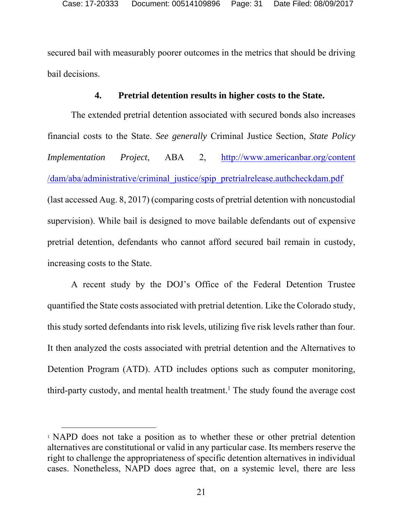secured bail with measurably poorer outcomes in the metrics that should be driving bail decisions.

#### **4. Pretrial detention results in higher costs to the State.**

The extended pretrial detention associated with secured bonds also increases financial costs to the State. *See generally* Criminal Justice Section, *State Policy Implementation Project*, ABA 2, http://www.americanbar.org/content /dam/aba/administrative/criminal\_justice/spip\_pretrialrelease.authcheckdam.pdf (last accessed Aug. 8, 2017) (comparing costs of pretrial detention with noncustodial supervision). While bail is designed to move bailable defendants out of expensive pretrial detention, defendants who cannot afford secured bail remain in custody, increasing costs to the State.

A recent study by the DOJ's Office of the Federal Detention Trustee quantified the State costs associated with pretrial detention. Like the Colorado study, this study sorted defendants into risk levels, utilizing five risk levels rather than four. It then analyzed the costs associated with pretrial detention and the Alternatives to Detention Program (ATD). ATD includes options such as computer monitoring, third-party custody, and mental health treatment.<sup>1</sup> The study found the average cost

l

<sup>1</sup> NAPD does not take a position as to whether these or other pretrial detention alternatives are constitutional or valid in any particular case. Its members reserve the right to challenge the appropriateness of specific detention alternatives in individual cases. Nonetheless, NAPD does agree that, on a systemic level, there are less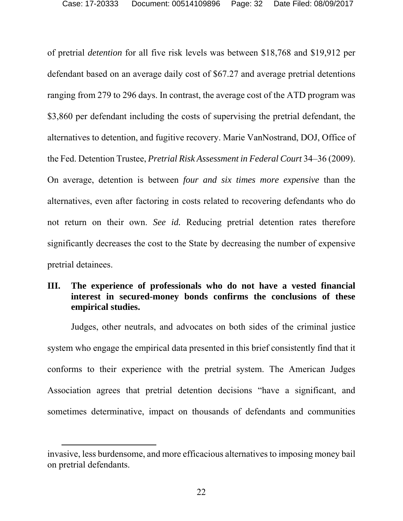of pretrial *detention* for all five risk levels was between \$18,768 and \$19,912 per defendant based on an average daily cost of \$67.27 and average pretrial detentions ranging from 279 to 296 days. In contrast, the average cost of the ATD program was \$3,860 per defendant including the costs of supervising the pretrial defendant, the alternatives to detention, and fugitive recovery. Marie VanNostrand, DOJ, Office of the Fed. Detention Trustee, *Pretrial Risk Assessment in Federal Court* 34–36 (2009). On average, detention is between *four and six times more expensive* than the alternatives, even after factoring in costs related to recovering defendants who do not return on their own. *See id.* Reducing pretrial detention rates therefore significantly decreases the cost to the State by decreasing the number of expensive pretrial detainees.

## **III. The experience of professionals who do not have a vested financial interest in secured-money bonds confirms the conclusions of these empirical studies.**

Judges, other neutrals, and advocates on both sides of the criminal justice system who engage the empirical data presented in this brief consistently find that it conforms to their experience with the pretrial system. The American Judges Association agrees that pretrial detention decisions "have a significant, and sometimes determinative, impact on thousands of defendants and communities

invasive, less burdensome, and more efficacious alternatives to imposing money bail on pretrial defendants.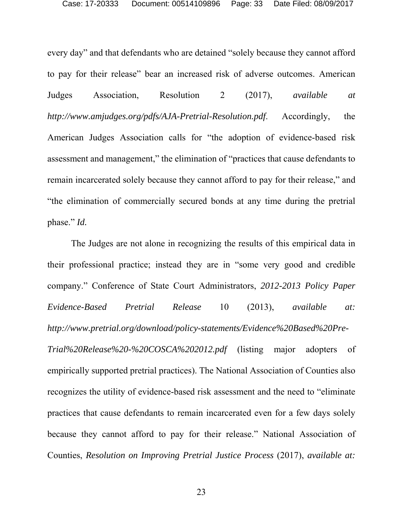every day" and that defendants who are detained "solely because they cannot afford to pay for their release" bear an increased risk of adverse outcomes. American Judges Association, Resolution 2 (2017), *available at http://www.amjudges.org/pdfs/AJA-Pretrial-Resolution.pdf*. Accordingly, the American Judges Association calls for "the adoption of evidence-based risk assessment and management," the elimination of "practices that cause defendants to remain incarcerated solely because they cannot afford to pay for their release," and "the elimination of commercially secured bonds at any time during the pretrial phase." *Id.*

The Judges are not alone in recognizing the results of this empirical data in their professional practice; instead they are in "some very good and credible company." Conference of State Court Administrators, *2012-2013 Policy Paper Evidence-Based Pretrial Release* 10 (2013), *available at: http://www.pretrial.org/download/policy-statements/Evidence%20Based%20Pre-Trial%20Release%20-%20COSCA%202012.pdf* (listing major adopters of empirically supported pretrial practices). The National Association of Counties also recognizes the utility of evidence-based risk assessment and the need to "eliminate practices that cause defendants to remain incarcerated even for a few days solely because they cannot afford to pay for their release." National Association of Counties, *Resolution on Improving Pretrial Justice Process* (2017), *available at:*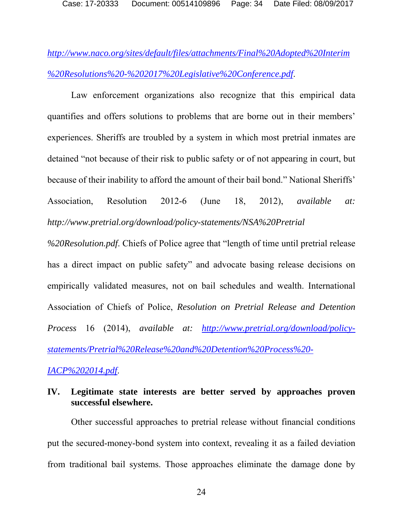Case: 17-20333 Document: 00514109896 Page: 34 Date Filed: 08/09/2017

*http://www.naco.org/sites/default/files/attachments/Final%20Adopted%20Interim %20Resolutions%20-%202017%20Legislative%20Conference.pdf*.

Law enforcement organizations also recognize that this empirical data quantifies and offers solutions to problems that are borne out in their members' experiences. Sheriffs are troubled by a system in which most pretrial inmates are detained "not because of their risk to public safety or of not appearing in court, but because of their inability to afford the amount of their bail bond." National Sheriffs' Association, Resolution 2012-6 (June 18, 2012), *available at: http://www.pretrial.org/download/policy-statements/NSA%20Pretrial*

*%20Resolution.pdf*. Chiefs of Police agree that "length of time until pretrial release has a direct impact on public safety" and advocate basing release decisions on empirically validated measures, not on bail schedules and wealth. International Association of Chiefs of Police, *Resolution on Pretrial Release and Detention Process* 16 (2014), *available at: http://www.pretrial.org/download/policystatements/Pretrial%20Release%20and%20Detention%20Process%20-*

*IACP%202014.pdf*.

## **IV. Legitimate state interests are better served by approaches proven successful elsewhere.**

Other successful approaches to pretrial release without financial conditions put the secured-money-bond system into context, revealing it as a failed deviation from traditional bail systems. Those approaches eliminate the damage done by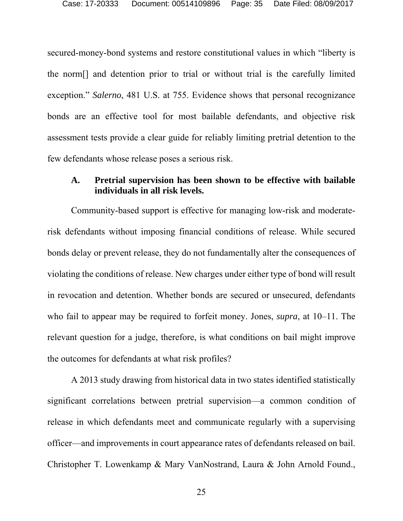secured-money-bond systems and restore constitutional values in which "liberty is the norm[] and detention prior to trial or without trial is the carefully limited exception." *Salerno*, 481 U.S. at 755. Evidence shows that personal recognizance bonds are an effective tool for most bailable defendants, and objective risk assessment tests provide a clear guide for reliably limiting pretrial detention to the few defendants whose release poses a serious risk.

#### **A. Pretrial supervision has been shown to be effective with bailable individuals in all risk levels.**

Community-based support is effective for managing low-risk and moderaterisk defendants without imposing financial conditions of release. While secured bonds delay or prevent release, they do not fundamentally alter the consequences of violating the conditions of release. New charges under either type of bond will result in revocation and detention. Whether bonds are secured or unsecured, defendants who fail to appear may be required to forfeit money. Jones, *supra*, at 10–11. The relevant question for a judge, therefore, is what conditions on bail might improve the outcomes for defendants at what risk profiles?

A 2013 study drawing from historical data in two states identified statistically significant correlations between pretrial supervision—a common condition of release in which defendants meet and communicate regularly with a supervising officer—and improvements in court appearance rates of defendants released on bail. Christopher T. Lowenkamp & Mary VanNostrand, Laura & John Arnold Found.,

25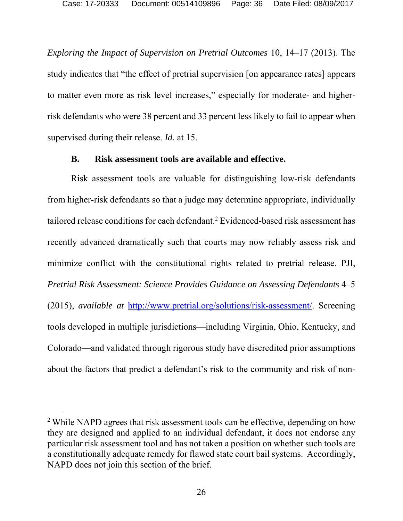*Exploring the Impact of Supervision on Pretrial Outcomes* 10, 14–17 (2013). The study indicates that "the effect of pretrial supervision [on appearance rates] appears to matter even more as risk level increases," especially for moderate- and higherrisk defendants who were 38 percent and 33 percent less likely to fail to appear when supervised during their release. *Id.* at 15.

#### **B. Risk assessment tools are available and effective.**

Risk assessment tools are valuable for distinguishing low-risk defendants from higher-risk defendants so that a judge may determine appropriate, individually tailored release conditions for each defendant.<sup>2</sup> Evidenced-based risk assessment has recently advanced dramatically such that courts may now reliably assess risk and minimize conflict with the constitutional rights related to pretrial release. PJI, *Pretrial Risk Assessment: Science Provides Guidance on Assessing Defendants* 4–5 (2015), *available at* http://www.pretrial.org/solutions/risk-assessment/. Screening tools developed in multiple jurisdictions—including Virginia, Ohio, Kentucky, and Colorado—and validated through rigorous study have discredited prior assumptions about the factors that predict a defendant's risk to the community and risk of non-

l

<sup>&</sup>lt;sup>2</sup> While NAPD agrees that risk assessment tools can be effective, depending on how they are designed and applied to an individual defendant, it does not endorse any particular risk assessment tool and has not taken a position on whether such tools are a constitutionally adequate remedy for flawed state court bail systems. Accordingly, NAPD does not join this section of the brief.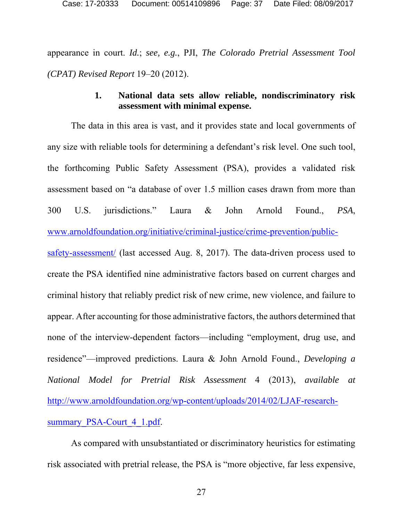appearance in court. *Id.*; *see, e.g.*, PJI, *The Colorado Pretrial Assessment Tool (CPAT) Revised Report* 19–20 (2012).

### **1. National data sets allow reliable, nondiscriminatory risk assessment with minimal expense.**

The data in this area is vast, and it provides state and local governments of any size with reliable tools for determining a defendant's risk level. One such tool, the forthcoming Public Safety Assessment (PSA), provides a validated risk assessment based on "a database of over 1.5 million cases drawn from more than 300 U.S. jurisdictions." Laura & John Arnold Found., *PSA*, www.arnoldfoundation.org/initiative/criminal-justice/crime-prevention/publicsafety-assessment/ (last accessed Aug. 8, 2017). The data-driven process used to create the PSA identified nine administrative factors based on current charges and criminal history that reliably predict risk of new crime, new violence, and failure to appear. After accounting for those administrative factors, the authors determined that none of the interview-dependent factors—including "employment, drug use, and residence"—improved predictions. Laura & John Arnold Found., *Developing a National Model for Pretrial Risk Assessment* 4 (2013), *available at* http://www.arnoldfoundation.org/wp-content/uploads/2014/02/LJAF-researchsummary PSA-Court 4 1.pdf.

As compared with unsubstantiated or discriminatory heuristics for estimating risk associated with pretrial release, the PSA is "more objective, far less expensive,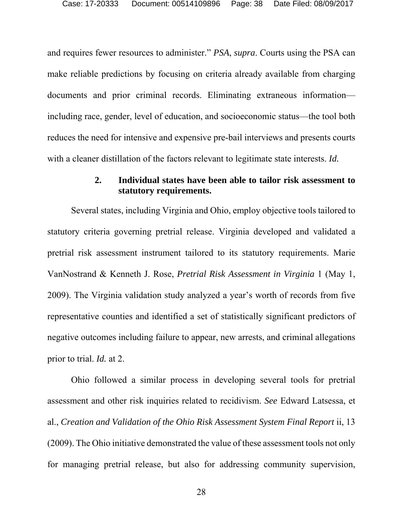and requires fewer resources to administer." *PSA*, *supra*. Courts using the PSA can make reliable predictions by focusing on criteria already available from charging documents and prior criminal records. Eliminating extraneous information including race, gender, level of education, and socioeconomic status—the tool both reduces the need for intensive and expensive pre-bail interviews and presents courts with a cleaner distillation of the factors relevant to legitimate state interests. *Id.*

#### **2. Individual states have been able to tailor risk assessment to statutory requirements.**

Several states, including Virginia and Ohio, employ objective tools tailored to statutory criteria governing pretrial release. Virginia developed and validated a pretrial risk assessment instrument tailored to its statutory requirements. Marie VanNostrand & Kenneth J. Rose, *Pretrial Risk Assessment in Virginia* 1 (May 1, 2009). The Virginia validation study analyzed a year's worth of records from five representative counties and identified a set of statistically significant predictors of negative outcomes including failure to appear, new arrests, and criminal allegations prior to trial. *Id.* at 2.

Ohio followed a similar process in developing several tools for pretrial assessment and other risk inquiries related to recidivism. *See* Edward Latsessa, et al., *Creation and Validation of the Ohio Risk Assessment System Final Report* ii, 13 (2009). The Ohio initiative demonstrated the value of these assessment tools not only for managing pretrial release, but also for addressing community supervision,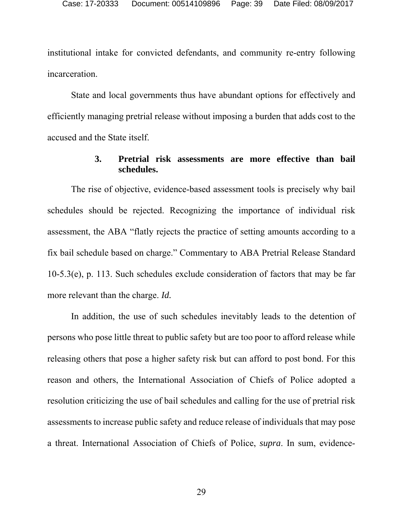institutional intake for convicted defendants, and community re-entry following incarceration.

State and local governments thus have abundant options for effectively and efficiently managing pretrial release without imposing a burden that adds cost to the accused and the State itself.

#### **3. Pretrial risk assessments are more effective than bail schedules.**

The rise of objective, evidence-based assessment tools is precisely why bail schedules should be rejected. Recognizing the importance of individual risk assessment, the ABA "flatly rejects the practice of setting amounts according to a fix bail schedule based on charge." Commentary to ABA Pretrial Release Standard 10-5.3(e), p. 113. Such schedules exclude consideration of factors that may be far more relevant than the charge. *Id.*

In addition, the use of such schedules inevitably leads to the detention of persons who pose little threat to public safety but are too poor to afford release while releasing others that pose a higher safety risk but can afford to post bond. For this reason and others, the International Association of Chiefs of Police adopted a resolution criticizing the use of bail schedules and calling for the use of pretrial risk assessments to increase public safety and reduce release of individuals that may pose a threat. International Association of Chiefs of Police, *supra*. In sum, evidence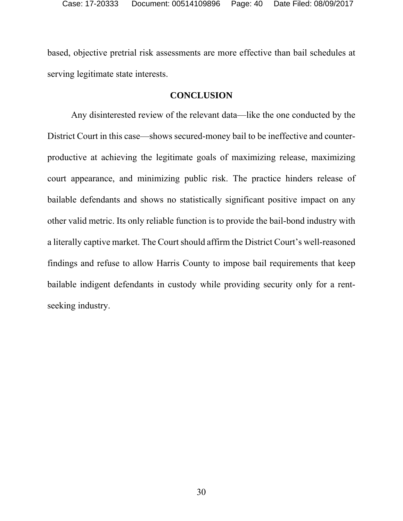based, objective pretrial risk assessments are more effective than bail schedules at serving legitimate state interests.

#### **CONCLUSION**

Any disinterested review of the relevant data—like the one conducted by the District Court in this case—shows secured-money bail to be ineffective and counterproductive at achieving the legitimate goals of maximizing release, maximizing court appearance, and minimizing public risk. The practice hinders release of bailable defendants and shows no statistically significant positive impact on any other valid metric. Its only reliable function is to provide the bail-bond industry with a literally captive market. The Court should affirm the District Court's well-reasoned findings and refuse to allow Harris County to impose bail requirements that keep bailable indigent defendants in custody while providing security only for a rentseeking industry.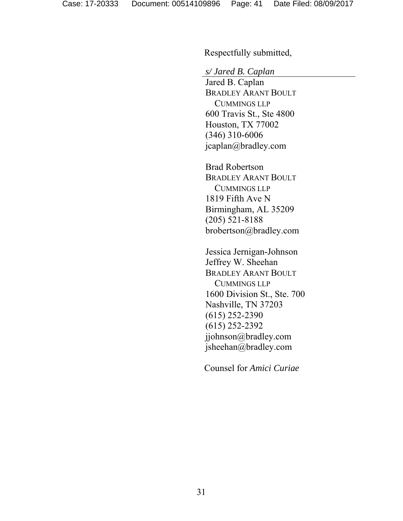Respectfully submitted,

*s/ Jared B. Caplan* 

 Jared B. Caplan BRADLEY ARANT BOULT CUMMINGS LLP 600 Travis St., Ste 4800 Houston, TX 77002 (346) 310-6006 jcaplan@bradley.com

Brad Robertson BRADLEY ARANT BOULT CUMMINGS LLP 1819 Fifth Ave N Birmingham, AL 35209 (205) 521-8188 brobertson@bradley.com

Jessica Jernigan-Johnson Jeffrey W. Sheehan BRADLEY ARANT BOULT CUMMINGS LLP 1600 Division St., Ste. 700 Nashville, TN 37203 (615) 252-2390 (615) 252-2392 jjohnson@bradley.com jsheehan@bradley.com

Counsel for *Amici Curiae*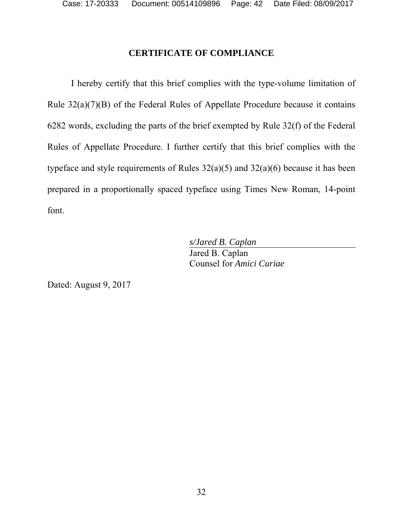## **CERTIFICATE OF COMPLIANCE**

I hereby certify that this brief complies with the type-volume limitation of Rule 32(a)(7)(B) of the Federal Rules of Appellate Procedure because it contains 6282 words, excluding the parts of the brief exempted by Rule 32(f) of the Federal Rules of Appellate Procedure. I further certify that this brief complies with the typeface and style requirements of Rules 32(a)(5) and 32(a)(6) because it has been prepared in a proportionally spaced typeface using Times New Roman, 14-point font.

> *s/Jared B. Caplan*  Jared B. Caplan Counsel for *Amici Curiae*

Dated: August 9, 2017